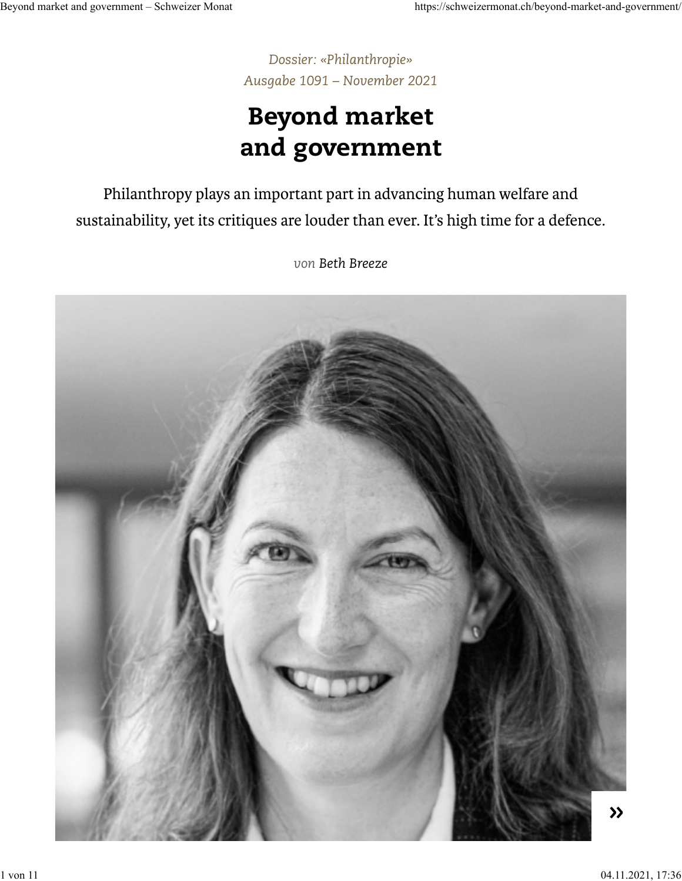*[Dossier: «Philanthropie»](https://schweizermonat.ch/dossier/philanthropie/) [Ausgabe 1091 – November 2021](https://schweizermonat.ch/issue/ausgabe-1091-november-2021/)*

# Beyond market and government

Philanthropy plays an important part in advancing human welfare and sustainability, yet its critiques are louder than ever. It's high time for a defence.

*von [Beth Breeze](https://schweizermonat.ch/author/bethbreeze/)*

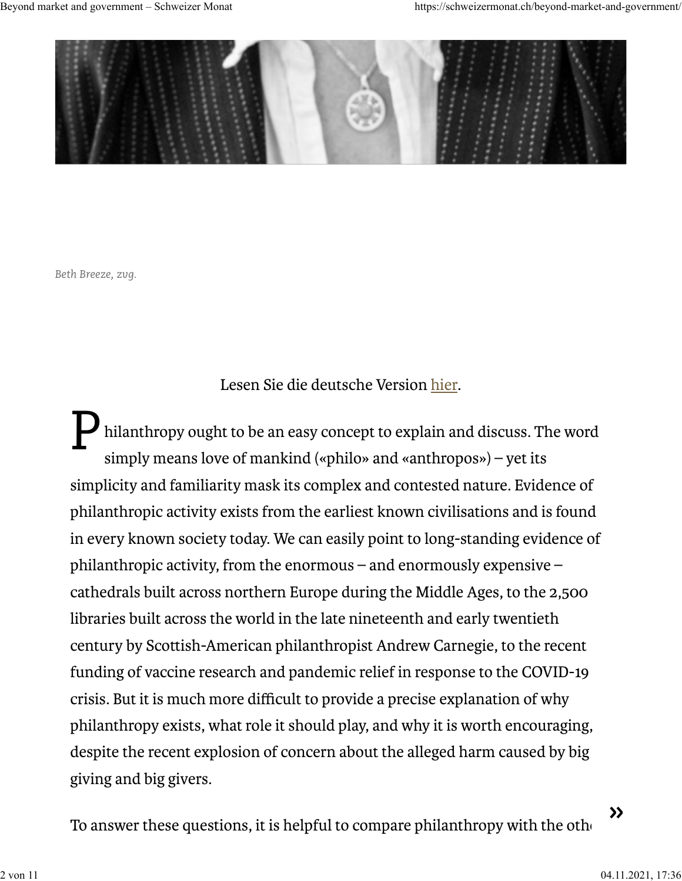

*Beth Breeze, zvg.*

Lesen Sie die deutsche Version [hier.](https://schweizermonat.ch/jenseits-von-markt-und-staat/)

P hilanthropy ought to be an easy concept to explain and discuss. The word simply means love of mankind («philo» and «anthropos») – yet its simplicity and familiarity mask its complex and contested nature. Evidence of philanthropic activity exists from the earliest known civilisations and is found in every known society today. We can easily point to long-standing evidence of philanthropic activity, from the enormous – and enormously expensive – cathedrals built across northern Europe during the Middle Ages, to the 2,500 libraries built across the world in the late nineteenth and early twentieth century by Scottish-American philanthropist Andrew Carnegie, to the recent funding of vaccine research and pandemic relief in response to the COVID-19 crisis. But it is much more difficult to provide a precise explanation of why philanthropy exists, what role it should play, and why it is worth encouraging, despite the recent explosion of concern about the alleged harm caused by big giving and big givers.

To answer these questions, it is helpful to compare philanthropy with the other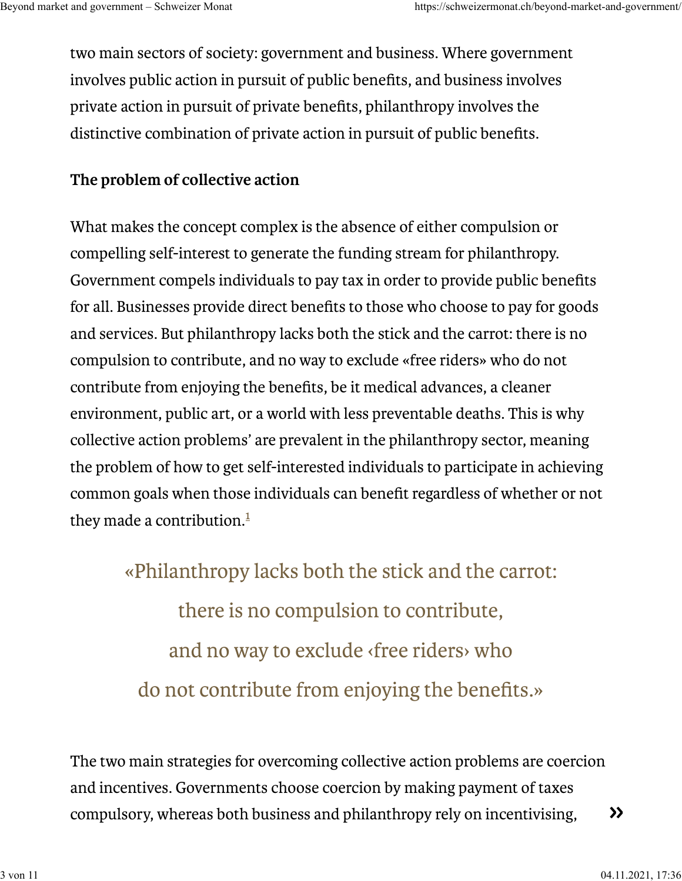two main sectors of society: government and business. Where government involves public action in pursuit of public benefits, and business involves private action in pursuit of private benefits, philanthropy involves the distinctive combination of private action in pursuit of public benefits.

### **The problem of collective action**

What makes the concept complex is the absence of either compulsion or compelling self-interest to generate the funding stream for philanthropy. Government compels individuals to pay tax in order to provide public benefits for all. Businesses provide direct benefits to those who choose to pay for goods and services. But philanthropy lacks both the stick and the carrot: there is no compulsion to contribute, and no way to exclude «free riders» who do not contribute from enjoying the benefits, be it medical advances, a cleaner environment, public art, or a world with less preventable deaths. This is why collective action problems' are prevalent in the philanthropy sector, meaning the problem of how to get self-interested individuals to participate in achieving common goals when those individuals can benefit regardless of whether or not they made a contribution.<sup>[1](https://schweizermonat.ch/beyond-market-and-government/#fn:1)</sup>

> «Philanthropy lacks both the stick and the carrot: there is no compulsion to contribute, and no way to exclude ‹free riders› who do not contribute from enjoying the benefits.»

The two main strategies for overcoming collective action problems are coercion and incentives. Governments choose coercion by making payment of taxes compulsory, whereas both business and philanthropy rely on incentivising,  $\rightarrow$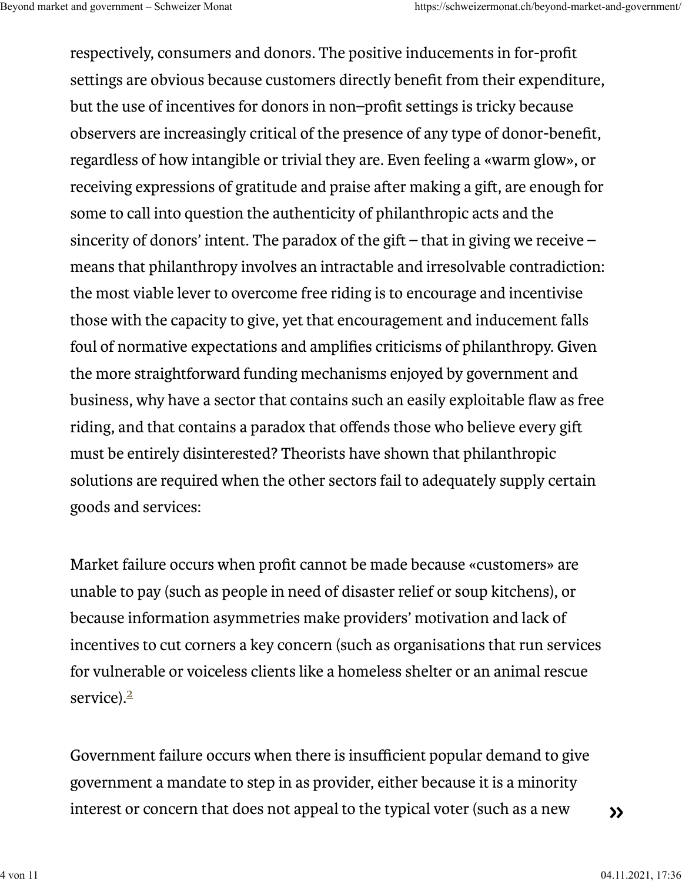respectively, consumers and donors. The positive inducements in for-profit settings are obvious because customers directly benefit from their expenditure, but the use of incentives for donors in non–profit settings is tricky because observers are increasingly critical of the presence of any type of donor-benefit, regardless of how intangible or trivial they are. Even feeling a «warm glow», or receiving expressions of gratitude and praise after making a gift, are enough for some to call into question the authenticity of philanthropic acts and the sincerity of donors' intent. The paradox of the gift – that in giving we receive – means that philanthropy involves an intractable and irresolvable contradiction: the most viable lever to overcome free riding is to encourage and incentivise those with the capacity to give, yet that encouragement and inducement falls foul of normative expectations and amplifies criticisms of philanthropy. Given the more straightforward funding mechanisms enjoyed by government and business, why have a sector that contains such an easily exploitable flaw as free riding, and that contains a paradox that offends those who believe every gi must be entirely disinterested? Theorists have shown that philanthropic solutions are required when the other sectors fail to adequately supply certain goods and services:

Market failure occurs when profit cannot be made because «customers» are unable to pay (such as people in need of disaster relief or soup kitchens), or because information asymmetries make providers' motivation and lack of incentives to cut corners a key concern (such as organisations that run services for vulnerable or voiceless clients like a homeless shelter or an animal rescue service).<sup>[2](https://schweizermonat.ch/beyond-market-and-government/#fn:2)</sup>

Government failure occurs when there is insufficient popular demand to give government a mandate to step in as provider, either because it is a minority interest or concern that does not appeal to the typical voter (such as a new

 $\rightarrow$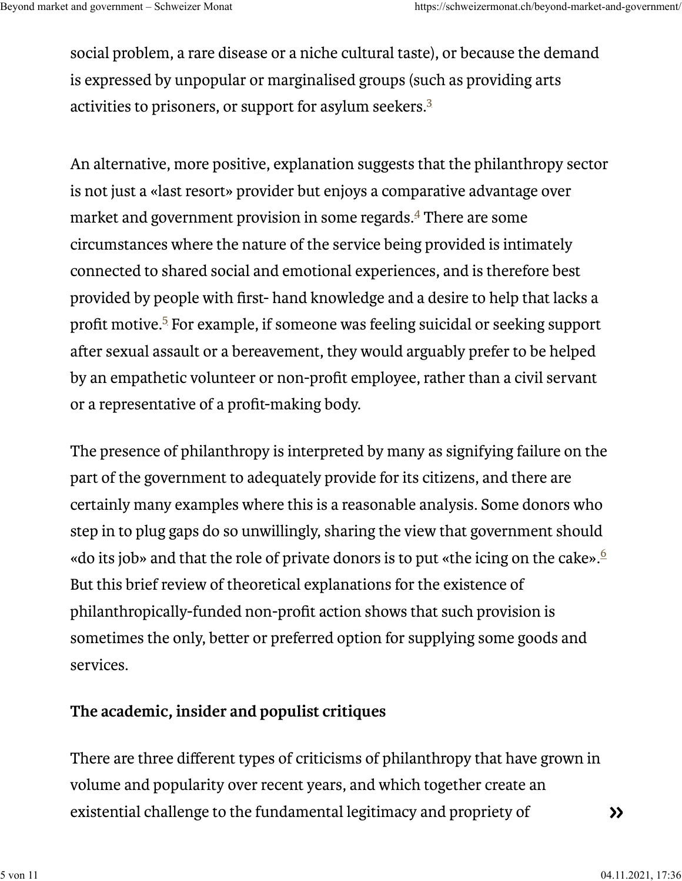social problem, a rare disease or a niche cultural taste), or because the demand is expressed by unpopular or marginalised groups (such as providing arts activities to prisoners, or support for asylum seekers. $^3$  $^3$ 

An alternative, more positive, explanation suggests that the philanthropy sector is not just a «last resort» provider but enjoys a comparative advantage over market and government provision in some regards. $\overset{4}{\phantom{1}}$  $\overset{4}{\phantom{1}}$  $\overset{4}{\phantom{1}}$  There are some circumstances where the nature of the service being provided is intimately connected to shared social and emotional experiences, and is therefore best provided by people with first- hand knowledge and a desire to help that lacks a profit motive[.](https://schweizermonat.ch/beyond-market-and-government/#fn:5)<sup>5</sup> For example, if someone was feeling suicidal or seeking support after sexual assault or a bereavement, they would arguably prefer to be helped by an empathetic volunteer or non-profit employee, rather than a civil servant or a representative of a profit-making body.

The presence of philanthropy is interpreted by many as signifying failure on the part of the government to adequately provide for its citizens, and there are certainly many examples where this is a reasonable analysis. Some donors who step in to plug gaps do so unwillingly, sharing the view that government should «do its job» and that the role of private donors is to put «the icing on the cake».  $\stackrel{6}{\sim}$  $\stackrel{6}{\sim}$  $\stackrel{6}{\sim}$ But this brief review of theoretical explanations for the existence of philanthropically-funded non-profit action shows that such provision is sometimes the only, better or preferred option for supplying some goods and services.

### **The academic, insider and populist critiques**

There are three different types of criticisms of philanthropy that have grown in volume and popularity over recent years, and which together create an existential challenge to the fundamental legitimacy and propriety of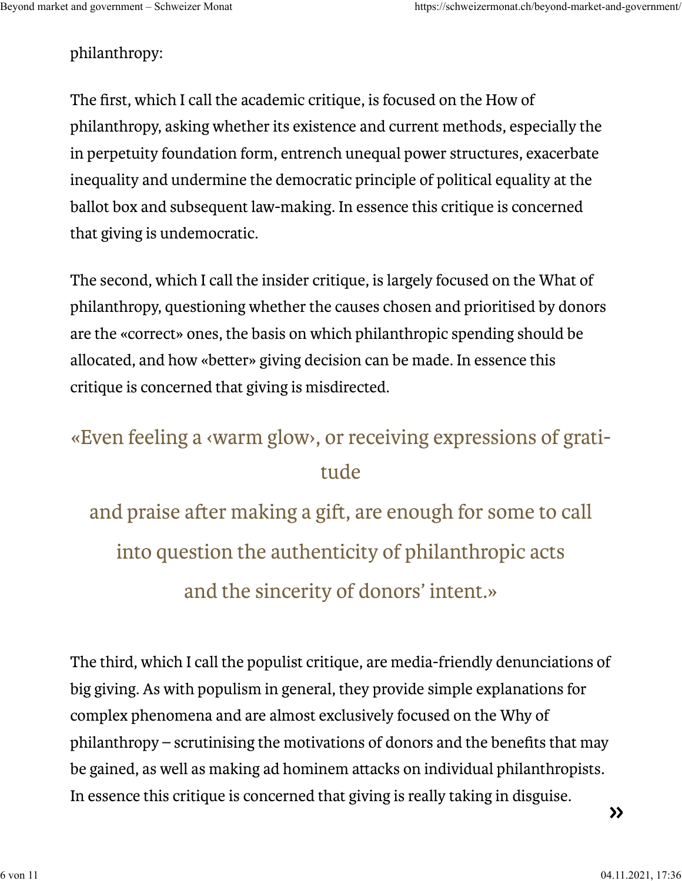### philanthropy:

The first, which I call the academic critique, is focused on the How of philanthropy, asking whether its existence and current methods, especially the in perpetuity foundation form, entrench unequal power structures, exacerbate inequality and undermine the democratic principle of political equality at the ballot box and subsequent law-making. In essence this critique is concerned that giving is undemocratic.

The second, which I call the insider critique, is largely focused on the What of philanthropy, questioning whether the causes chosen and prioritised by donors are the «correct» ones, the basis on which philanthropic spending should be allocated, and how «better» giving decision can be made. In essence this critique is concerned that giving is misdirected.

## «Even feeling a ‹warm glow›, or receiving expressions of gratitude

and praise after making a gift, are enough for some to call into question the authenticity of philanthropic acts and the sincerity of donors' intent.»

The third, which I call the populist critique, are media-friendly denunciations of big giving. As with populism in general, they provide simple explanations for complex phenomena and are almost exclusively focused on the Why of philanthropy – scrutinising the motivations of donors and the benefits that may be gained, as well as making ad hominem attacks on individual philanthropists. In essence this critique is concerned that giving is really taking in disguise.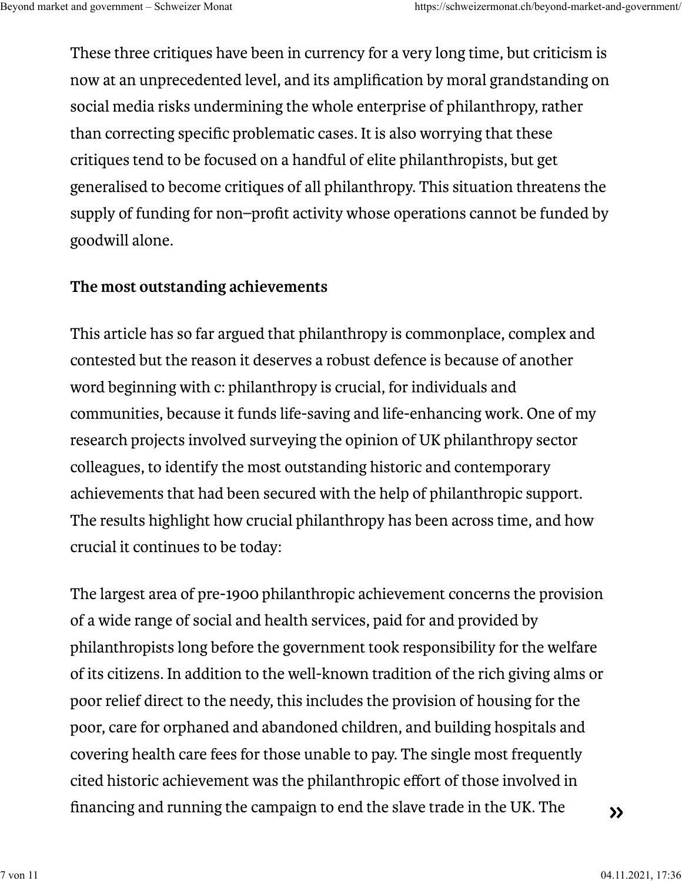These three critiques have been in currency for a very long time, but criticism is now at an unprecedented level, and its amplification by moral grandstanding on social media risks undermining the whole enterprise of philanthropy, rather than correcting specific problematic cases. It is also worrying that these critiques tend to be focused on a handful of elite philanthropists, but get generalised to become critiques of all philanthropy. This situation threatens the supply of funding for non–profit activity whose operations cannot be funded by goodwill alone.

### **The most outstanding achievements**

This article has so far argued that philanthropy is commonplace, complex and contested but the reason it deserves a robust defence is because of another word beginning with c: philanthropy is crucial, for individuals and communities, because it funds life-saving and life-enhancing work. One of my research projects involved surveying the opinion of UK philanthropy sector colleagues, to identify the most outstanding historic and contemporary achievements that had been secured with the help of philanthropic support. The results highlight how crucial philanthropy has been across time, and how crucial it continues to be today:

The largest area of pre-1900 philanthropic achievement concerns the provision of a wide range of social and health services, paid for and provided by philanthropists long before the government took responsibility for the welfare of its citizens. In addition to the well-known tradition of the rich giving alms or poor relief direct to the needy, this includes the provision of housing for the poor, care for orphaned and abandoned children, and building hospitals and covering health care fees for those unable to pay. The single most frequently cited historic achievement was the philanthropic effort of those involved in financing and running the campaign to end the slave trade in the UK. The  $\rightarrow$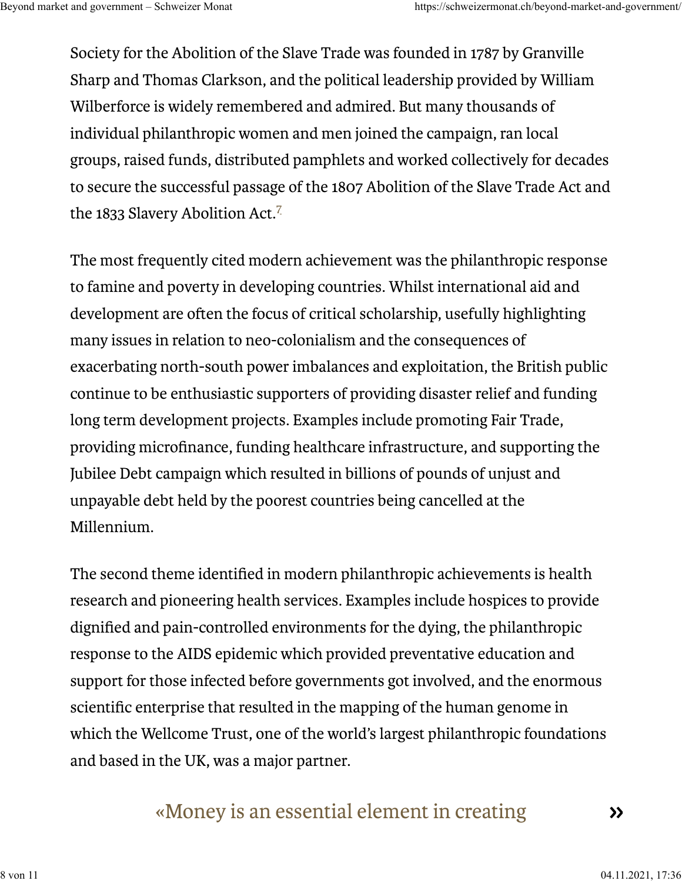Society for the Abolition of the Slave Trade was founded in 1787 by Granville Sharp and Thomas Clarkson, and the political leadership provided by William Wilberforce is widely remembered and admired. But many thousands of individual philanthropic women and men joined the campaign, ran local groups, raised funds, distributed pamphlets and worked collectively for decades to secure the successful passage of the 1807 Abolition of the Slave Trade Act and the 1833 Slavery Abolition Act.<sup>[7](https://schweizermonat.ch/beyond-market-and-government/#fn:7)</sup>

The most frequently cited modern achievement was the philanthropic response to famine and poverty in developing countries. Whilst international aid and development are often the focus of critical scholarship, usefully highlighting many issues in relation to neo-colonialism and the consequences of exacerbating north-south power imbalances and exploitation, the British public continue to be enthusiastic supporters of providing disaster relief and funding long term development projects. Examples include promoting Fair Trade, providing microfinance, funding healthcare infrastructure, and supporting the Jubilee Debt campaign which resulted in billions of pounds of unjust and unpayable debt held by the poorest countries being cancelled at the Millennium.

The second theme identified in modern philanthropic achievements is health research and pioneering health services. Examples include hospices to provide dignified and pain-controlled environments for the dying, the philanthropic response to the AIDS epidemic which provided preventative education and support for those infected before governments got involved, and the enormous scientific enterprise that resulted in the mapping of the human genome in which the Wellcome Trust, one of the world's largest philanthropic foundations and based in the UK, was a major partner.

### «Money is an essential element in creating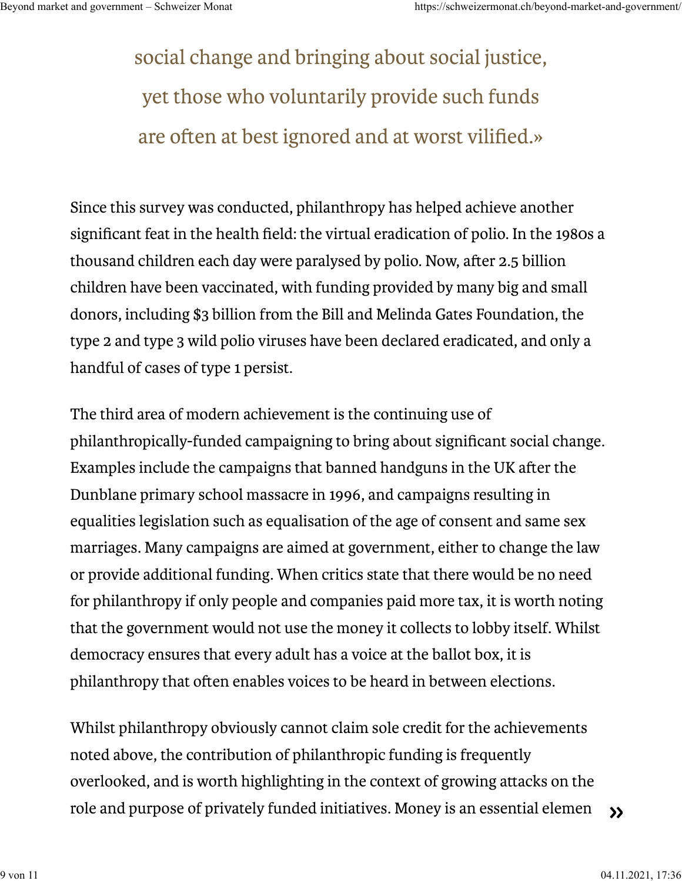social change and bringing about social justice, yet those who voluntarily provide such funds are often at best ignored and at worst vilified.»

Since this survey was conducted, philanthropy has helped achieve another significant feat in the health field: the virtual eradication of polio. In the 1980s a thousand children each day were paralysed by polio. Now, after 2.5 billion children have been vaccinated, with funding provided by many big and small donors, including \$3 billion from the Bill and Melinda Gates Foundation, the type 2 and type 3 wild polio viruses have been declared eradicated, and only a handful of cases of type 1 persist.

The third area of modern achievement is the continuing use of philanthropically-funded campaigning to bring about significant social change. Examples include the campaigns that banned handguns in the UK after the Dunblane primary school massacre in 1996, and campaigns resulting in equalities legislation such as equalisation of the age of consent and same sex marriages. Many campaigns are aimed at government, either to change the law or provide additional funding. When critics state that there would be no need for philanthropy if only people and companies paid more tax, it is worth noting that the government would not use the money it collects to lobby itself. Whilst democracy ensures that every adult has a voice at the ballot box, it is philanthropy that often enables voices to be heard in between elections.

Whilst philanthropy obviously cannot claim sole credit for the achievements noted above, the contribution of philanthropic funding is frequently overlooked, and is worth highlighting in the context of growing attacks on the role and purpose of privately funded initiatives. Money is an essential elemen  $\rightarrow$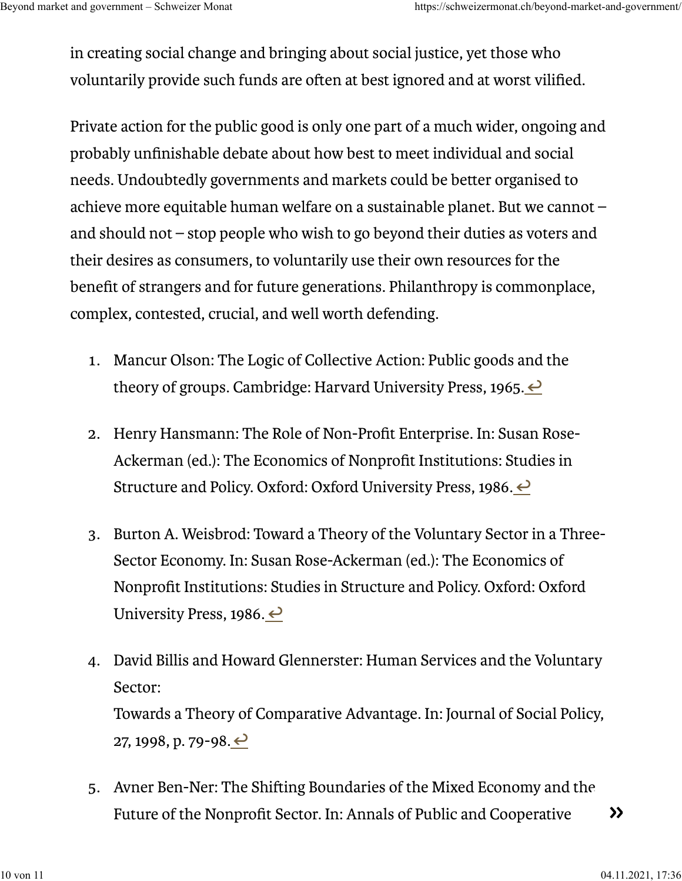in creating social change and bringing about social justice, yet those who voluntarily provide such funds are often at best ignored and at worst vilified.

Private action for the public good is only one part of a much wider, ongoing and probably unfinishable debate about how best to meet individual and social needs. Undoubtedly governments and markets could be better organised to achieve more equitable human welfare on a sustainable planet. But we cannot – and should not – stop people who wish to go beyond their duties as voters and their desires as consumers, to voluntarily use their own resources for the benefit of strangers and for future generations. Philanthropy is commonplace, complex, contested, crucial, and well worth defending.

- . Mancur Olson: The Logic of Collective Action: Public goods and the theory of groups. Cambridge: Harvard University Press, 1965.  $\leftrightarrow$
- . Henry Hansmann: The Role of Non-Profit Enterprise. In: Susan Rose-Ackerman (ed.): The Economics of Nonprofit Institutions: Studies in Structure and Policy. Oxford: Oxford University Press, 1986. ←
- . Burton A. Weisbrod: Toward a Theory of the Voluntary Sector in a Three-Sector Economy. In: Susan Rose-Ackerman (ed.): The Economics of Nonprofit Institutions: Studies in Structure and Policy. Oxford: Oxford University Press, 1986.  $\leftrightarrow$
- . David Billis and Howard Glennerster: Human Services and the Voluntary Sector: Towards a Theory of Comparative Advantage. In: Journal of Social Policy, 27, 1998, p. 79-98.  $\leftrightarrow$
- 5. Avner Ben-Ner: The Shifting Boundaries of the Mixed Economy and the Future of the Nonprofit Sector. In: Annals of Public and Cooperative  $\rightarrow \rightarrow$